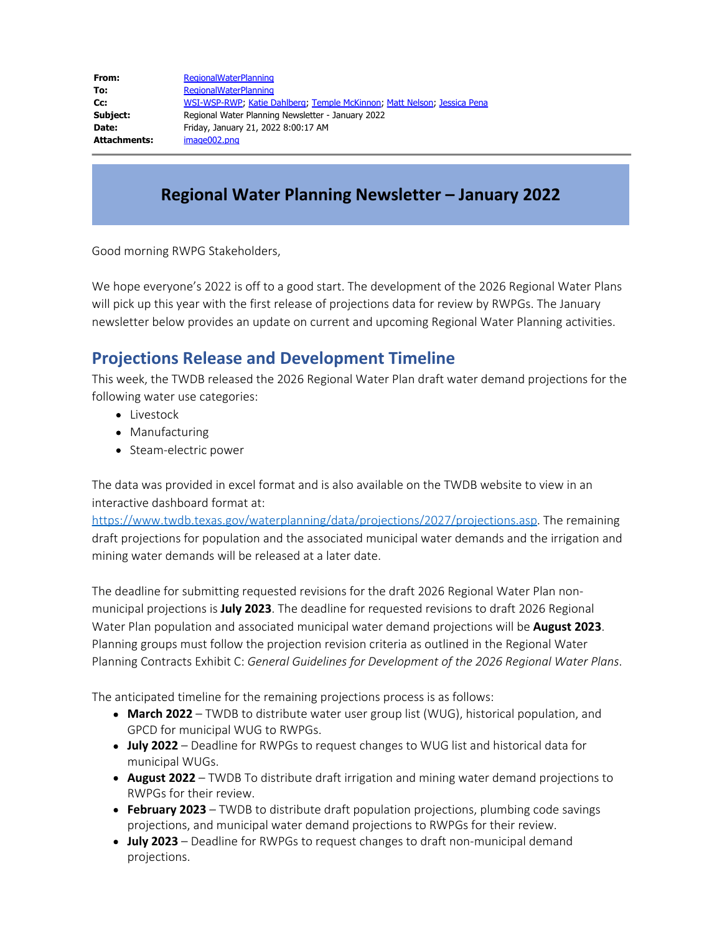| From:               | <b>RegionalWaterPlanning</b>                                            |
|---------------------|-------------------------------------------------------------------------|
| To:                 | <b>RegionalWaterPlanning</b>                                            |
| Cc:                 | WSI-WSP-RWP; Katie Dahlberg; Temple McKinnon; Matt Nelson; Jessica Pena |
| Subject:            | Regional Water Planning Newsletter - January 2022                       |
| Date:               | Friday, January 21, 2022 8:00:17 AM                                     |
| <b>Attachments:</b> | image002.png                                                            |

# **Regional Water Planning Newsletter – January 2022**

Good morning RWPG Stakeholders,

We hope everyone's 2022 is off to a good start. The development of the 2026 Regional Water Plans will pick up this year with the first release of projections data for review by RWPGs. The January newsletter below provides an update on current and upcoming Regional Water Planning activities.

### **Projections Release and Development Timeline**

This week, the TWDB released the 2026 Regional Water Plan draft water demand projections for the following water use categories:

- Livestock
- Manufacturing
- Steam-electric power

The data was provided in excel format and is also available on the TWDB website to view in an interactive dashboard format at:

<https://www.twdb.texas.gov/waterplanning/data/projections/2027/projections.asp>. The remaining draft projections for population and the associated municipal water demands and the irrigation and mining water demands will be released at a later date.

The deadline for submitting requested revisions for the draft 2026 Regional Water Plan nonmunicipal projections is **July 2023**. The deadline for requested revisions to draft 2026 Regional Water Plan population and associated municipal water demand projections will be **August 2023**. Planning groups must follow the projection revision criteria as outlined in the Regional Water Planning Contracts Exhibit C: *General Guidelines for Development of the 2026 Regional Water Plans*.

The anticipated timeline for the remaining projections process is as follows:

- **March 2022** TWDB to distribute water user group list (WUG), historical population, and GPCD for municipal WUG to RWPGs.
- **July 2022**  Deadline for RWPGs to request changes to WUG list and historical data for municipal WUGs.
- **August 2022**  TWDB To distribute draft irrigation and mining water demand projections to RWPGs for their review.
- **February 2023**  TWDB to distribute draft population projections, plumbing code savings projections, and municipal water demand projections to RWPGs for their review.
- **July 2023**  Deadline for RWPGs to request changes to draft non-municipal demand projections.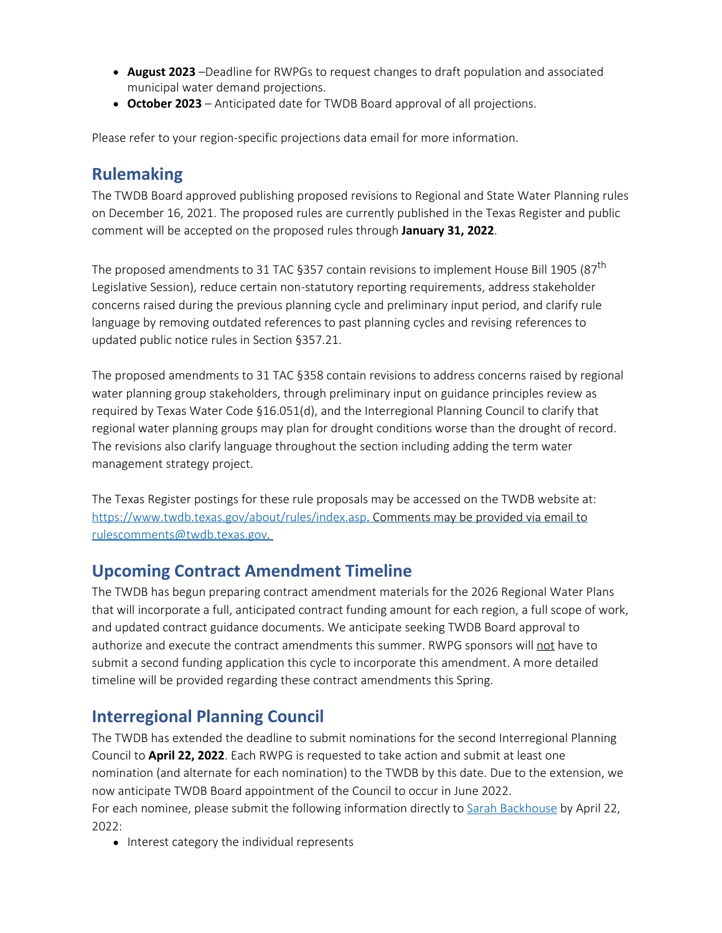- **August 2023** –Deadline for RWPGs to request changes to draft population and associated municipal water demand projections.
- **October 2023**  Anticipated date for TWDB Board approval of all projections.

Please refer to your region-specific projections data email for more information.

#### **Rulemaking**

The TWDB Board approved publishing proposed revisions to Regional and State Water Planning rules on December 16, 2021. The proposed rules are currently published in the Texas Register and public comment will be accepted on the proposed rules through **January 31, 2022**.

The proposed amendments to 31 TAC §357 contain revisions to implement House Bill 1905 (87<sup>th</sup> Legislative Session), reduce certain non-statutory reporting requirements, address stakeholder concerns raised during the previous planning cycle and preliminary input period, and clarify rule language by removing outdated references to past planning cycles and revising references to updated public notice rules in Section §357.21.

The proposed amendments to 31 TAC §358 contain revisions to address concerns raised by regional water planning group stakeholders, through preliminary input on guidance principles review as required by Texas Water Code §16.051(d), and the Interregional Planning Council to clarify that regional water planning groups may plan for drought conditions worse than the drought of record. The revisions also clarify language throughout the section including adding the term water management strategy project.

The Texas Register postings for these rule proposals may be accessed on the TWDB website at: [https://www.twdb.texas.gov/about/rules/index.asp.](https://www.twdb.texas.gov/about/rules/index.asp) Comments may be provided via email to [rulescomments@twdb.texas.gov](mailto:rulescomments@twdb.texas.gov).

#### **Upcoming Contract Amendment Timeline**

The TWDB has begun preparing contract amendment materials for the 2026 Regional Water Plans that will incorporate a full, anticipated contract funding amount for each region, a full scope of work, and updated contract guidance documents. We anticipate seeking TWDB Board approval to authorize and execute the contract amendments this summer. RWPG sponsors will not have to submit a second funding application this cycle to incorporate this amendment. A more detailed timeline will be provided regarding these contract amendments this Spring.

#### **Interregional Planning Council**

The TWDB has extended the deadline to submit nominations for the second Interregional Planning Council to **April 22, 2022**. Each RWPG is requested to take action and submit at least one nomination (and alternate for each nomination) to the TWDB by this date. Due to the extension, we now anticipate TWDB Board appointment of the Council to occur in June 2022.

For each nominee, please submit the following information directly to **Sarah Backhouse** by April 22, 2022:

• Interest category the individual represents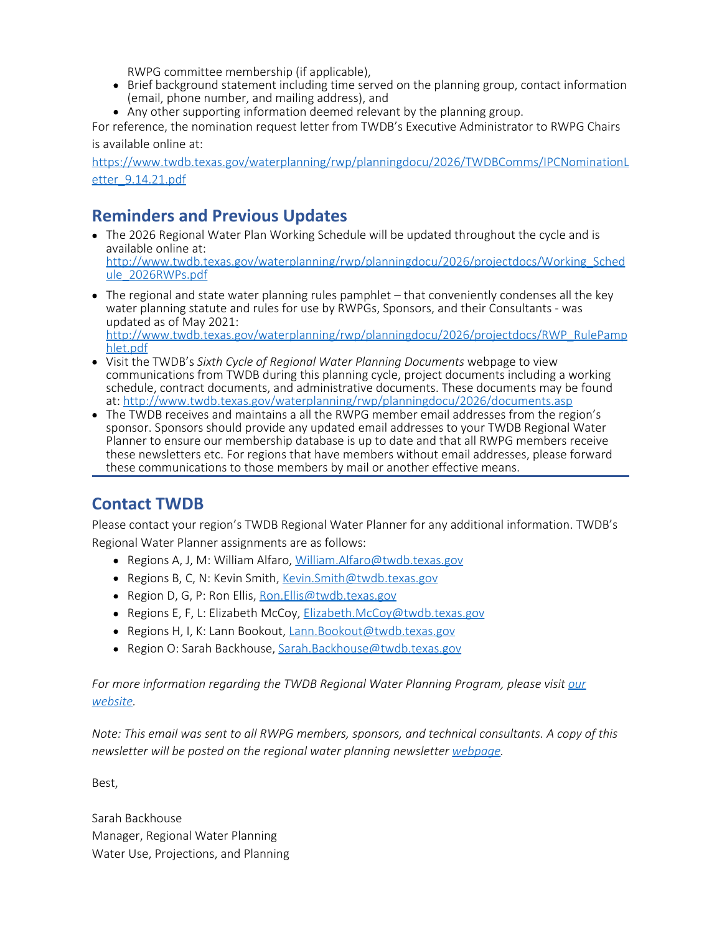RWPG committee membership (if applicable),

- Brief background statement including time served on the planning group, contact information (email, phone number, and mailing address), and
- Any other supporting information deemed relevant by the planning group.

For reference, the nomination request letter from TWDB's Executive Administrator to RWPG Chairs is available online at:

[https://www.twdb.texas.gov/waterplanning/rwp/planningdocu/2026/TWDBComms/IPCNominationL](https://www.twdb.texas.gov/waterplanning/rwp/planningdocu/2026/TWDBComms/IPCNominationLetter_9.14.21.pdf) etter 9.14.21.pdf

# **Reminders and Previous Updates**

- The 2026 Regional Water Plan Working Schedule will be updated throughout the cycle and is available online at: [http://www.twdb.texas.gov/waterplanning/rwp/planningdocu/2026/projectdocs/Working\\_Sched](http://www.twdb.texas.gov/waterplanning/rwp/planningdocu/2026/projectdocs/Working_Schedule_2026RWPs.pdf) [ule\\_2026RWPs.pdf](http://www.twdb.texas.gov/waterplanning/rwp/planningdocu/2026/projectdocs/Working_Schedule_2026RWPs.pdf)
- $\bullet$  The regional and state water planning rules pamphlet that conveniently condenses all the key water planning statute and rules for use by RWPGs, Sponsors, and their Consultants - was updated as of May 2021: [http://www.twdb.texas.gov/waterplanning/rwp/planningdocu/2026/projectdocs/RWP\\_RulePamp](http://www.twdb.texas.gov/waterplanning/rwp/planningdocu/2026/projectdocs/RWP_RulePamphlet.pdf) [hlet.pdf](http://www.twdb.texas.gov/waterplanning/rwp/planningdocu/2026/projectdocs/RWP_RulePamphlet.pdf)
- Visit the TWDB's *Sixth Cycle of Regional Water Planning Documents* webpage to view communications from TWDB during this planning cycle, project documents including a working schedule, contract documents, and administrative documents. These documents may be found at:<http://www.twdb.texas.gov/waterplanning/rwp/planningdocu/2026/documents.asp>
- The TWDB receives and maintains a all the RWPG member email addresses from the region's sponsor. Sponsors should provide any updated email addresses to your TWDB Regional Water Planner to ensure our membership database is up to date and that all RWPG members receive these newsletters etc. For regions that have members without email addresses, please forward these communications to those members by mail or another effective means.

# **Contact TWDB**

Please contact your region's TWDB Regional Water Planner for any additional information. TWDB's Regional Water Planner assignments are as follows:

- Regions A, J, M: William Alfaro, [William.Alfaro@twdb.texas.gov](mailto:William.Alfaro@twdb.texas.gov)
- Regions B, C, N: Kevin Smith, [Kevin.Smith@twdb.texas.gov](mailto:Kevin.Smith@twdb.texas.gov)
- Region D, G, P: Ron Ellis, Ron. Ellis@twdb.texas.gov
- Regions E, F, L: Elizabeth McCoy, [Elizabeth.McCoy@twdb.texas.gov](mailto:Elizabeth.McCoy@twdb.texas.gov)
- Regions H, I, K: Lann Bookout, [Lann.Bookout@twdb.texas.gov](mailto:Lann.Bookout@twdb.texas.gov)
- Region O: Sarah Backhouse, [Sarah.Backhouse@twdb.texas.gov](mailto:Sarah.Backhouse@twdb.texas.gov)

*For more information regarding the TWDB Regional Water Planning Program, please visit [our](http://www.twdb.texas.gov/waterplanning/rwp/index.asp) [website.](http://www.twdb.texas.gov/waterplanning/rwp/index.asp)*

*Note: This email was sent to all RWPG members, sponsors, and technical consultants. A copy of this newsletter will be posted on the regional water planning newsletter [webpage](http://www.twdb.texas.gov/waterplanning/rwp/planningdocu/2026/newsletters.asp).*

Best,

Sarah Backhouse Manager, Regional Water Planning Water Use, Projections, and Planning